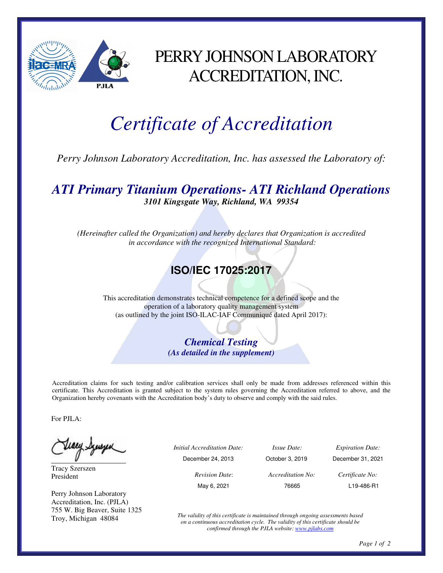

## PERRY JOHNSON LABORATORY ACCREDITATION, INC.

# *Certificate of Accreditation*

*Perry Johnson Laboratory Accreditation, Inc. has assessed the Laboratory of:* 

#### *ATI Primary Titanium Operations- ATI Richland Operations 3101 Kingsgate Way, Richland, WA 99354*

*(Hereinafter called the Organization) and hereby declares that Organization is accredited in accordance with the recognized International Standard:* 

### **ISO/IEC 17025:2017**

This accreditation demonstrates technical competence for a defined scope and the operation of a laboratory quality management system (as outlined by the joint ISO-ILAC-IAF Communiqué dated April 2017):

> *Chemical Testing (As detailed in the supplement)*

Accreditation claims for such testing and/or calibration services shall only be made from addresses referenced within this certificate. This Accreditation is granted subject to the system rules governing the Accreditation referred to above, and the Organization hereby covenants with the Accreditation body's duty to observe and comply with the said rules.

For PJLA:

Waey Synsyer

Tracy Szerszen President

Perry Johnson Laboratory Accreditation, Inc. (PJLA) 755 W. Big Beaver, Suite 1325 Troy, Michigan 48084

 *Initial Accreditation Date: Issue Date: Expiration Date:*  December 24, 2013 October 3, 2019 December 31, 2021 *Revision Date*: *Accreditation No: Certificate No:* 

May 6, 2021 76665 L19-486-R1

*The validity of this certificate is maintained through ongoing assessments based on a continuous accreditation cycle. The validity of this certificate should be confirmed through the PJLA website: www.pjlabs.com*